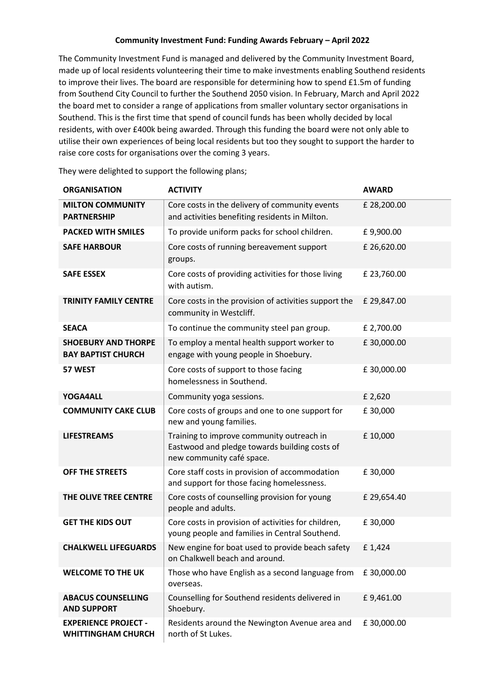## **Community Investment Fund: Funding Awards February – April 2022**

The Community Investment Fund is managed and delivered by the Community Investment Board, made up of local residents volunteering their time to make investments enabling Southend residents to improve their lives. The board are responsible for determining how to spend £1.5m of funding from Southend City Council to further the Southend 2050 vision. In February, March and April 2022 the board met to consider a range of applications from smaller voluntary sector organisations in Southend. This is the first time that spend of council funds has been wholly decided by local residents, with over £400k being awarded. Through this funding the board were not only able to utilise their own experiences of being local residents but too they sought to support the harder to raise core costs for organisations over the coming 3 years.

| <b>ORGANISATION</b>                                      | <b>ACTIVITY</b>                                                                                                         | <b>AWARD</b> |
|----------------------------------------------------------|-------------------------------------------------------------------------------------------------------------------------|--------------|
| <b>MILTON COMMUNITY</b><br><b>PARTNERSHIP</b>            | Core costs in the delivery of community events<br>and activities benefiting residents in Milton.                        | £ 28,200.00  |
| <b>PACKED WITH SMILES</b>                                | To provide uniform packs for school children.                                                                           | £9,900.00    |
| <b>SAFE HARBOUR</b>                                      | Core costs of running bereavement support<br>groups.                                                                    | £26,620.00   |
| <b>SAFE ESSEX</b>                                        | Core costs of providing activities for those living<br>with autism.                                                     | £23,760.00   |
| <b>TRINITY FAMILY CENTRE</b>                             | Core costs in the provision of activities support the<br>community in Westcliff.                                        | £ 29,847.00  |
| <b>SEACA</b>                                             | To continue the community steel pan group.                                                                              | £ 2,700.00   |
| <b>SHOEBURY AND THORPE</b><br><b>BAY BAPTIST CHURCH</b>  | To employ a mental health support worker to<br>engage with young people in Shoebury.                                    | £30,000.00   |
| 57 WEST                                                  | Core costs of support to those facing<br>homelessness in Southend.                                                      | £30,000.00   |
| YOGA4ALL                                                 | Community yoga sessions.                                                                                                | £ 2,620      |
| <b>COMMUNITY CAKE CLUB</b>                               | Core costs of groups and one to one support for<br>new and young families.                                              | £30,000      |
| <b>LIFESTREAMS</b>                                       | Training to improve community outreach in<br>Eastwood and pledge towards building costs of<br>new community café space. | £10,000      |
| OFF THE STREETS                                          | Core staff costs in provision of accommodation<br>and support for those facing homelessness.                            | £30,000      |
| THE OLIVE TREE CENTRE                                    | Core costs of counselling provision for young<br>people and adults.                                                     | £ 29,654.40  |
| <b>GET THE KIDS OUT</b>                                  | Core costs in provision of activities for children,<br>young people and families in Central Southend.                   | £30,000      |
| <b>CHALKWELL LIFEGUARDS</b>                              | New engine for boat used to provide beach safety<br>on Chalkwell beach and around.                                      | £1,424       |
| <b>WELCOME TO THE UK</b>                                 | Those who have English as a second language from<br>overseas.                                                           | £30,000.00   |
| <b>ABACUS COUNSELLING</b><br><b>AND SUPPORT</b>          | Counselling for Southend residents delivered in<br>Shoebury.                                                            | £9,461.00    |
| <b>EXPERIENCE PROJECT -</b><br><b>WHITTINGHAM CHURCH</b> | Residents around the Newington Avenue area and<br>north of St Lukes.                                                    | £30,000.00   |

They were delighted to support the following plans;